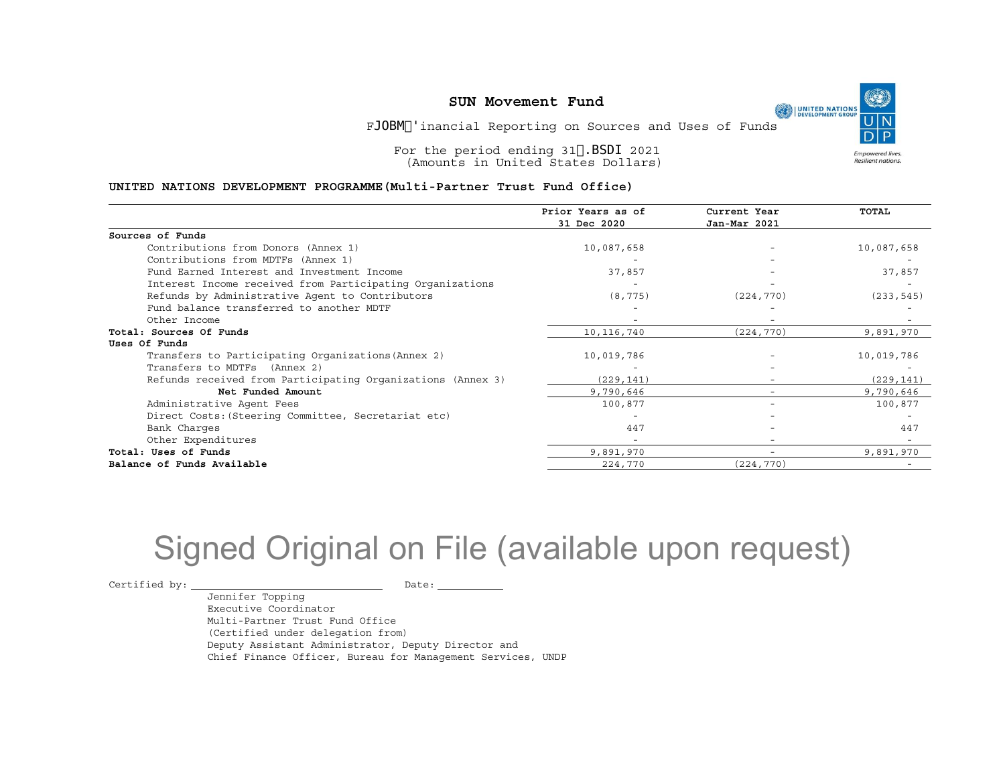Final Financial Reporting on Sources and Uses of Funds

For the period ending 31 March 2021 (Amounts in United States Dollars)

#### **UNITED NATIONS DEVELOPMENT PROGRAMME(Multi-Partner Trust Fund Office)**

|                                                             | Prior Years as of<br>31 Dec 2020 | Current Year<br>Jan-Mar 2021 | <b>TOTAL</b> |
|-------------------------------------------------------------|----------------------------------|------------------------------|--------------|
|                                                             |                                  |                              |              |
| Sources of Funds                                            |                                  |                              |              |
| Contributions from Donors (Annex 1)                         | 10,087,658                       |                              | 10,087,658   |
| Contributions from MDTFs (Annex 1)                          |                                  |                              |              |
| Fund Earned Interest and Investment Income                  | 37,857                           |                              | 37,857       |
| Interest Income received from Participating Organizations   |                                  |                              |              |
| Refunds by Administrative Agent to Contributors             | (8, 775)                         | (224, 770)                   | (233, 545)   |
| Fund balance transferred to another MDTF                    |                                  |                              |              |
| Other Income                                                |                                  |                              |              |
| Total: Sources Of Funds                                     | 10, 116, 740                     | (224, 770)                   | 9,891,970    |
| Uses Of Funds                                               |                                  |                              |              |
| Transfers to Participating Organizations (Annex 2)          | 10,019,786                       |                              | 10,019,786   |
| Transfers to MDTFs (Annex 2)                                |                                  |                              |              |
| Refunds received from Participating Organizations (Annex 3) | (229, 141)                       |                              | (229, 141)   |
| Net Funded Amount                                           | 9,790,646                        |                              | 9,790,646    |
| Administrative Agent Fees                                   | 100,877                          | $\overline{\phantom{0}}$     | 100,877      |
| Direct Costs: (Steering Committee, Secretariat etc)         |                                  |                              |              |
| Bank Charges                                                | 447                              |                              | 447          |
| Other Expenditures                                          |                                  |                              |              |
| Total: Uses of Funds                                        | 9,891,970                        | -                            | 9,891,970    |
| Balance of Funds Available                                  | 224,770                          | (224, 770)                   |              |

# Signed Original on File (available upon request)

 $\begin{picture}(180,10) \put(0,0){\vector(1,0){100}} \put(15,0){\vector(1,0){100}} \put(15,0){\vector(1,0){100}} \put(15,0){\vector(1,0){100}} \put(15,0){\vector(1,0){100}} \put(15,0){\vector(1,0){100}} \put(15,0){\vector(1,0){100}} \put(15,0){\vector(1,0){100}} \put(15,0){\vector(1,0){100}} \put(15,0){\vector(1,0){100}} \put(15,0){\vector(1,0){100}}$ 

Jennifer Topping Executive Coordinator Multi-Partner Trust Fund Office (Certified under delegation from) Deputy Assistant Administrator, Deputy Director and Chief Finance Officer, Bureau for Management Services, UNDP **Empowered lives** Resilient nations.

Ø.

UNITED NATIONS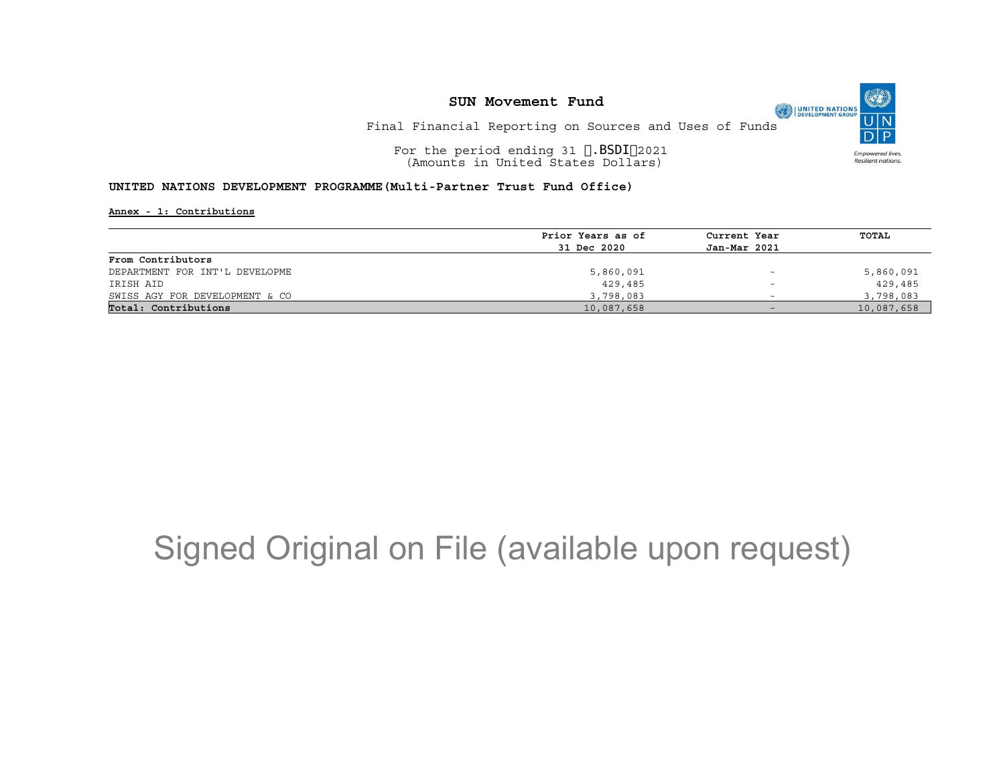Final Financial Reporting on Sources and Uses of Funds

For the period ending 31 March 2021 (Amounts in United States Dollars)

#### **UNITED NATIONS DEVELOPMENT PROGRAMME(Multi-Partner Trust Fund Office)**

**Annex - 1: Contributions**

| Prior Years as of | Current Year             | TOTAL      |
|-------------------|--------------------------|------------|
| 31 Dec 2020       | Jan-Mar 2021             |            |
|                   |                          |            |
| 5,860,091         | $\overline{\phantom{0}}$ | 5,860,091  |
| 429,485           | $\qquad \qquad$          | 429,485    |
| 3,798,083         | -                        | 3,798,083  |
| 10,087,658        | $-$                      | 10,087,658 |
|                   |                          |            |

# Signed Original on File (available upon request)

O UNITED NATIONS **Empowered lives** Resilient nations.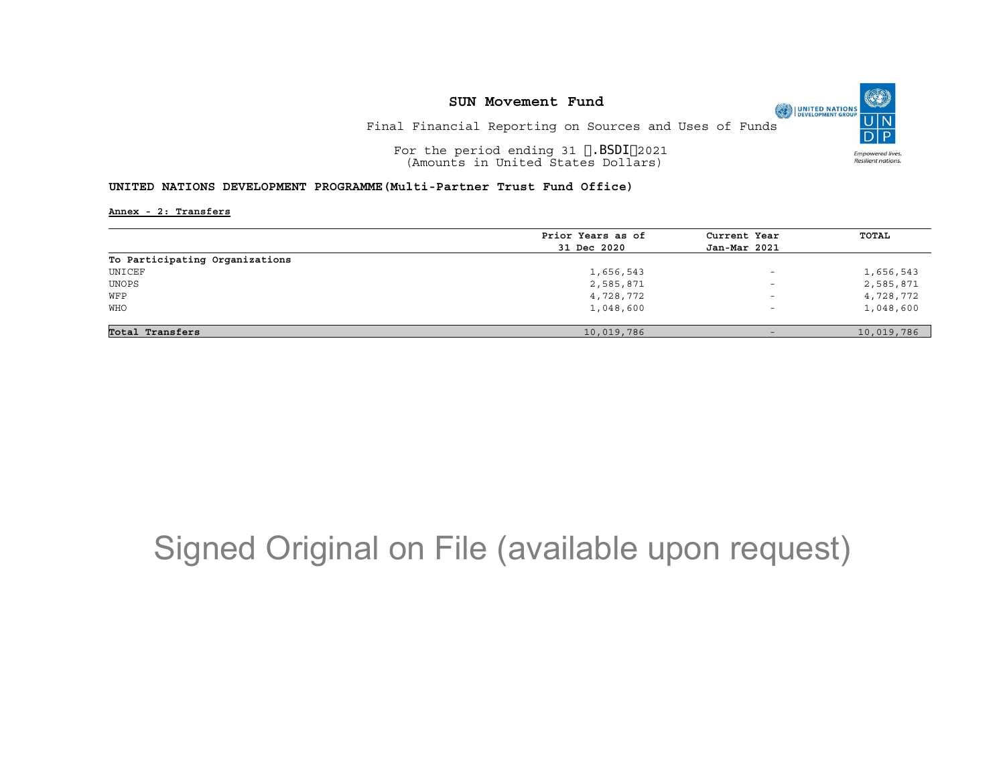Final Financial Reporting on Sources and Uses of Funds

For the period ending 31 March 2021 (Amounts in United States Dollars)

#### **UNITED NATIONS DEVELOPMENT PROGRAMME(Multi-Partner Trust Fund Office)**

**Annex - 2: Transfers**

|                                | Prior Years as of | Current Year             | <b>TOTAL</b> |
|--------------------------------|-------------------|--------------------------|--------------|
|                                | 31 Dec 2020       | Jan-Mar 2021             |              |
| To Participating Organizations |                   |                          |              |
| UNICEF                         | 1,656,543         | $\overline{\phantom{0}}$ | 1,656,543    |
| UNOPS                          | 2,585,871         | $\overline{\phantom{a}}$ | 2,585,871    |
| WFP                            | 4,728,772         | $\overline{\phantom{0}}$ | 4,728,772    |
| <b>WHO</b>                     | 1,048,600         | $\overline{\phantom{0}}$ | 1,048,600    |
|                                |                   |                          |              |
| Total Transfers                | 10,019,786        | $-$                      | 10,019,786   |

## Signed Original on File (available upon request)

O UNITED NATIONS **Empowered lives** Resilient nations.